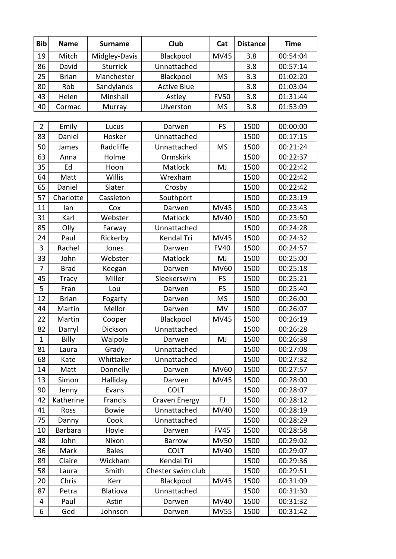| <b>Bib</b>     | <b>Name</b>  | <b>Surname</b>  | <b>Club</b>          | Cat         | <b>Distance</b> | <b>Time</b> |
|----------------|--------------|-----------------|----------------------|-------------|-----------------|-------------|
| 19             | Mitch        | Midgley-Davis   | Blackpool            | <b>MV45</b> | 3.8             | 00:54:04    |
| 86             | David        | <b>Sturrick</b> | Unnattached          |             | 3.8             | 00:57:14    |
| 25             | <b>Brian</b> | Manchester      | Blackpool            | <b>MS</b>   | 3.3             | 01:02:20    |
| 80             | Rob          | Sandylands      | <b>Active Blue</b>   |             | 3.8             | 01:03:04    |
| 43             | Helen        | Minshall        | Astley               | <b>FV50</b> | 3.8             | 01:31:44    |
| 40             | Cormac       | Murray          | Ulverston            | <b>MS</b>   | 3.8             | 01:53:09    |
|                |              |                 |                      |             |                 |             |
| $\overline{2}$ | Emily        | Lucus           | Darwen               | FS          | 1500            | 00:00:00    |
| 83             | Daniel       | Hosker          | Unnattached          |             | 1500            | 00:17:15    |
| 50             | James        | Radcliffe       | Unnattached          | <b>MS</b>   | 1500            | 00:21:24    |
| 63             | Anna         | Holme           | Ormskirk             |             | 1500            | 00:22:37    |
| 35             | Ed           | Hoon            | Matlock              | MJ          | 1500            | 00:22:42    |
| 64             | Matt         | Willis          | Wrexham              |             | 1500            | 00:22:42    |
| 65             | Daniel       | Slater          | Crosby               |             | 1500            | 00:22:42    |
| 57             | Charlotte    | Cassleton       | Southport            |             | 1500            | 00:23:19    |
| 11             | lan          | Cox             | Darwen               | <b>MV45</b> | 1500            | 00:23:43    |
| 31             | Karl         | Webster         | Matlock              | <b>MV40</b> | 1500            | 00:23:50    |
| 85             | Olly         | Farway          | Unnattached          |             | 1500            | 00:24:28    |
| 24             | Paul         | Rickerby        | Kendal Tri           | <b>MV45</b> | 1500            | 00:24:32    |
| 3              | Rachel       | Jones           | Darwen               | <b>FV40</b> | 1500            | 00:24:57    |
| 33             | John         | Webster         | Matlock              | MJ          | 1500            | 00:25:00    |
| 7              | <b>Brad</b>  | Keegan          | Darwen               | <b>MV60</b> | 1500            | 00:25:18    |
| 45             | Tracy        | Miller          | Sleekerswim          | FS          | 1500            | 00:25:21    |
| 5              | Fran         | Lou             | Darwen               | FS          | 1500            | 00:25:40    |
| 12             | <b>Brian</b> | Fogarty         | Darwen               | <b>MS</b>   | 1500            | 00:26:00    |
| 44             | Martin       | Mellor          | Darwen               | MV          | 1500            | 00:26:07    |
| 22             | Martin       | Cooper          | Blackpool            | <b>MV45</b> | 1500            | 00:26:19    |
| 82             | Darryl       | Dickson         | Unnattached          |             | 1500            | 00:26:28    |
| $\mathbf{1}$   | Billy        | Walpole         | Darwen               | MJ          | 1500            | 00:26:38    |
| 81             | Laura        | Grady           | Unnattached          |             | 1500            | 00:27:08    |
| 68             | Kate         | Whittaker       | Unnattached          |             | 1500            | 00:27:32    |
| 14             | Matt         | Donnelly        | Darwen               | <b>MV60</b> | 1500            | 00:27:57    |
| 13             | Simon        | Halliday        | Darwen               | MV45        | 1500            | 00:28:00    |
| 90             | Jenny        | Evans           | <b>COLT</b>          |             | 1500            | 00:28:07    |
| 42             | Katherine    | Francis         | <b>Craven Energy</b> | FJ          | 1500            | 00:28:12    |
| 41             | Ross         | <b>Bowie</b>    | Unnattached          | MV40        | 1500            | 00:28:19    |
| 75             | Danny        | Cook            | Unnattached          |             | 1500            | 00:28:29    |
| 10             | Barbara      | Hoyle           | Darwen               | <b>FV45</b> | 1500            | 00:28:58    |
| 48             | John         | Nixon           | <b>Barrow</b>        | <b>MV50</b> | 1500            | 00:29:02    |
| 36             | Mark         | <b>Bales</b>    | <b>COLT</b>          | MV40        | 1500            | 00:29:07    |
| 89             | Claire       | Wickham         | Kendal Tri           |             | 1500            | 00:29:36    |
| 58             | Laura        | Smith           | Chester swim club    |             | 1500            | 00:29:51    |
| 20             | Chris        | Kerr            | Blackpool            | <b>MV45</b> | 1500            | 00:31:09    |
| 87             | Petra        | Blatiova        | Unnattached          |             | 1500            | 00:31:30    |
| 4              | Paul         | Astin           | Darwen               | MV40        | 1500            | 00:31:32    |
| 6              | Ged          | Johnson         | Darwen               | <b>MV55</b> | 1500            | 00:31:42    |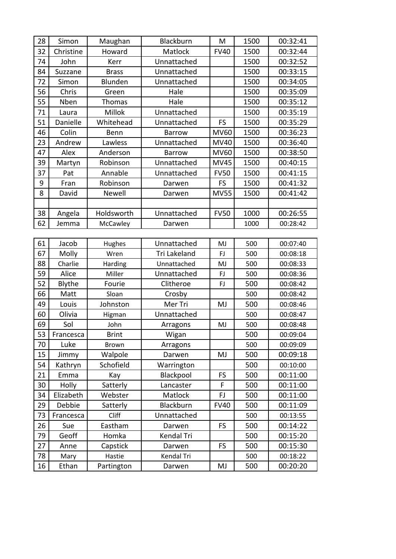| 28 | Simon     | Maughan       | Blackburn     | M           | 1500 | 00:32:41 |
|----|-----------|---------------|---------------|-------------|------|----------|
| 32 | Christine | Howard        | Matlock       | <b>FV40</b> | 1500 | 00:32:44 |
| 74 | John      | Kerr          | Unnattached   |             | 1500 | 00:32:52 |
| 84 | Suzzane   | <b>Brass</b>  | Unnattached   |             | 1500 | 00:33:15 |
| 72 | Simon     | Blunden       | Unnattached   |             | 1500 | 00:34:05 |
| 56 | Chris     | Green         | Hale          |             | 1500 | 00:35:09 |
| 55 | Nben      | <b>Thomas</b> | Hale          |             | 1500 | 00:35:12 |
| 71 | Laura     | Millok        | Unnattached   |             | 1500 | 00:35:19 |
| 51 | Danielle  | Whitehead     | Unnattached   | FS          | 1500 | 00:35:29 |
| 46 | Colin     | Benn          | <b>Barrow</b> | <b>MV60</b> | 1500 | 00:36:23 |
| 23 | Andrew    | Lawless       | Unnattached   | MV40        | 1500 | 00:36:40 |
| 47 | Alex      | Anderson      | <b>Barrow</b> | <b>MV60</b> | 1500 | 00:38:50 |
| 39 | Martyn    | Robinson      | Unnattached   | <b>MV45</b> | 1500 | 00:40:15 |
| 37 | Pat       | Annable       | Unnattached   | <b>FV50</b> | 1500 | 00:41:15 |
| 9  | Fran      | Robinson      | Darwen        | <b>FS</b>   | 1500 | 00:41:32 |
| 8  | David     | <b>Newell</b> | Darwen        | <b>MV55</b> | 1500 | 00:41:42 |
|    |           |               |               |             |      |          |
| 38 | Angela    | Holdsworth    | Unnattached   | <b>FV50</b> | 1000 | 00:26:55 |
| 62 | Jemma     | McCawley      | Darwen        |             | 1000 | 00:28:42 |
|    |           |               |               |             |      |          |
| 61 | Jacob     | Hughes        | Unnattached   | MJ          | 500  | 00:07:40 |
| 67 | Molly     | Wren          | Tri Lakeland  | FJ          | 500  | 00:08:18 |
| 88 | Charlie   | Harding       | Unnattached   | MJ          | 500  | 00:08:33 |
| 59 | Alice     | Miller        | Unnattached   | FJ          | 500  | 00:08:36 |
| 52 | Blythe    | Fourie        | Clitheroe     | <b>FJ</b>   | 500  | 00:08:42 |
| 66 | Matt      | Sloan         | Crosby        |             | 500  | 00:08:42 |
| 49 | Louis     | Johnston      | Mer Tri       | MJ          | 500  | 00:08:46 |
| 60 | Olivia    | Higman        | Unnattached   |             | 500  | 00:08:47 |
| 69 | Sol       | John          | Arragons      | MJ          | 500  | 00:08:48 |
| 53 | Francesca | Brint         | Wigan         |             | 500  | 00:09:04 |
| 70 | Luke      | <b>Brown</b>  | Arragons      |             | 500  | 00:09:09 |
| 15 | Jimmy     | Walpole       | Darwen        | MJ          | 500  | 00:09:18 |
| 54 | Kathryn   | Schofield     | Warrington    |             | 500  | 00:10:00 |
| 21 | Emma      | Kay           | Blackpool     | <b>FS</b>   | 500  | 00:11:00 |
| 30 | Holly     | Satterly      | Lancaster     | F           | 500  | 00:11:00 |
| 34 | Elizabeth | Webster       | Matlock       | FJ          | 500  | 00:11:00 |
| 29 | Debbie    | Satterly      | Blackburn     | <b>FV40</b> | 500  | 00:11:09 |
| 73 | Francesca | Cliff         | Unnattached   |             | 500  | 00:13:55 |
| 26 | Sue       | Eastham       | Darwen        | <b>FS</b>   | 500  | 00:14:22 |
| 79 | Geoff     | Homka         | Kendal Tri    |             | 500  | 00:15:20 |
| 27 | Anne      | Capstick      | Darwen        | <b>FS</b>   | 500  | 00:15:30 |
| 78 | Mary      | Hastie        | Kendal Tri    |             | 500  | 00:18:22 |
| 16 | Ethan     | Partington    | Darwen        | MJ          | 500  | 00:20:20 |